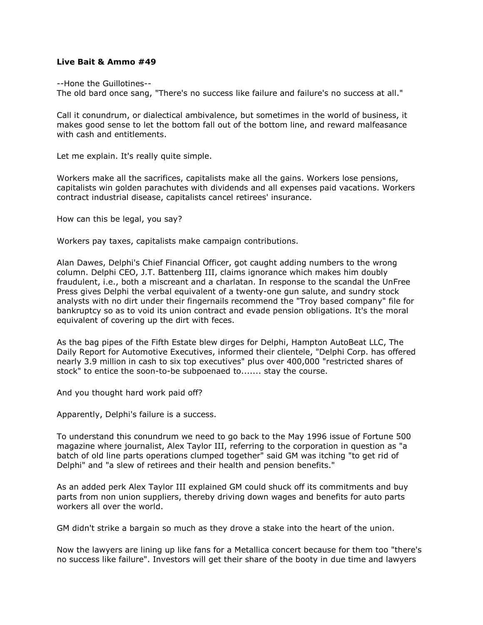## **Live Bait & Ammo #49**

--Hone the Guillotines--

The old bard once sang, "There's no success like failure and failure's no success at all."

Call it conundrum, or dialectical ambivalence, but sometimes in the world of business, it makes good sense to let the bottom fall out of the bottom line, and reward malfeasance with cash and entitlements.

Let me explain. It's really quite simple.

Workers make all the sacrifices, capitalists make all the gains. Workers lose pensions, capitalists win golden parachutes with dividends and all expenses paid vacations. Workers contract industrial disease, capitalists cancel retirees' insurance.

How can this be legal, you say?

Workers pay taxes, capitalists make campaign contributions.

Alan Dawes, Delphi's Chief Financial Officer, got caught adding numbers to the wrong column. Delphi CEO, J.T. Battenberg III, claims ignorance which makes him doubly fraudulent, i.e., both a miscreant and a charlatan. In response to the scandal the UnFree Press gives Delphi the verbal equivalent of a twenty-one gun salute, and sundry stock analysts with no dirt under their fingernails recommend the "Troy based company" file for bankruptcy so as to void its union contract and evade pension obligations. It's the moral equivalent of covering up the dirt with feces.

As the bag pipes of the Fifth Estate blew dirges for Delphi, Hampton AutoBeat LLC, The Daily Report for Automotive Executives, informed their clientele, "Delphi Corp. has offered nearly 3.9 million in cash to six top executives" plus over 400,000 "restricted shares of stock" to entice the soon-to-be subpoenaed to....... stay the course.

And you thought hard work paid off?

Apparently, Delphi's failure is a success.

To understand this conundrum we need to go back to the May 1996 issue of Fortune 500 magazine where journalist, Alex Taylor III, referring to the corporation in question as "a batch of old line parts operations clumped together" said GM was itching "to get rid of Delphi" and "a slew of retirees and their health and pension benefits."

As an added perk Alex Taylor III explained GM could shuck off its commitments and buy parts from non union suppliers, thereby driving down wages and benefits for auto parts workers all over the world.

GM didn't strike a bargain so much as they drove a stake into the heart of the union.

Now the lawyers are lining up like fans for a Metallica concert because for them too "there's no success like failure". Investors will get their share of the booty in due time and lawyers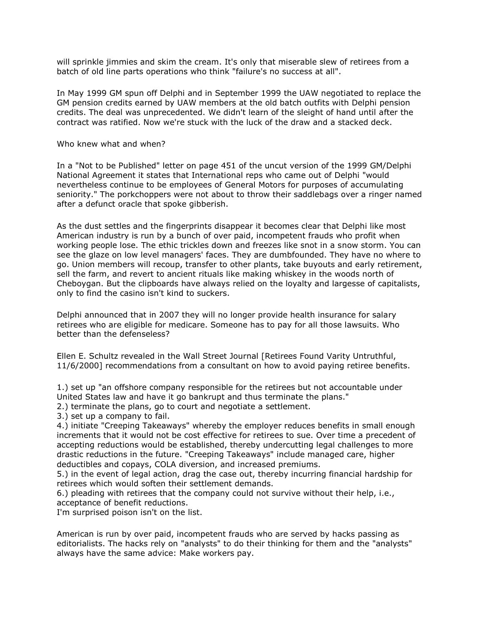will sprinkle jimmies and skim the cream. It's only that miserable slew of retirees from a batch of old line parts operations who think "failure's no success at all".

In May 1999 GM spun off Delphi and in September 1999 the UAW negotiated to replace the GM pension credits earned by UAW members at the old batch outfits with Delphi pension credits. The deal was unprecedented. We didn't learn of the sleight of hand until after the contract was ratified. Now we're stuck with the luck of the draw and a stacked deck.

Who knew what and when?

In a "Not to be Published" letter on page 451 of the uncut version of the 1999 GM/Delphi National Agreement it states that International reps who came out of Delphi "would nevertheless continue to be employees of General Motors for purposes of accumulating seniority." The porkchoppers were not about to throw their saddlebags over a ringer named after a defunct oracle that spoke gibberish.

As the dust settles and the fingerprints disappear it becomes clear that Delphi like most American industry is run by a bunch of over paid, incompetent frauds who profit when working people lose. The ethic trickles down and freezes like snot in a snow storm. You can see the glaze on low level managers' faces. They are dumbfounded. They have no where to go. Union members will recoup, transfer to other plants, take buyouts and early retirement, sell the farm, and revert to ancient rituals like making whiskey in the woods north of Cheboygan. But the clipboards have always relied on the loyalty and largesse of capitalists, only to find the casino isn't kind to suckers.

Delphi announced that in 2007 they will no longer provide health insurance for salary retirees who are eligible for medicare. Someone has to pay for all those lawsuits. Who better than the defenseless?

Ellen E. Schultz revealed in the Wall Street Journal [Retirees Found Varity Untruthful, 11/6/2000] recommendations from a consultant on how to avoid paying retiree benefits.

1.) set up "an offshore company responsible for the retirees but not accountable under United States law and have it go bankrupt and thus terminate the plans."

2.) terminate the plans, go to court and negotiate a settlement.

3.) set up a company to fail.

4.) initiate "Creeping Takeaways" whereby the employer reduces benefits in small enough increments that it would not be cost effective for retirees to sue. Over time a precedent of accepting reductions would be established, thereby undercutting legal challenges to more drastic reductions in the future. "Creeping Takeaways" include managed care, higher deductibles and copays, COLA diversion, and increased premiums.

5.) in the event of legal action, drag the case out, thereby incurring financial hardship for retirees which would soften their settlement demands.

6.) pleading with retirees that the company could not survive without their help, i.e., acceptance of benefit reductions.

I'm surprised poison isn't on the list.

American is run by over paid, incompetent frauds who are served by hacks passing as editorialists. The hacks rely on "analysts" to do their thinking for them and the "analysts" always have the same advice: Make workers pay.